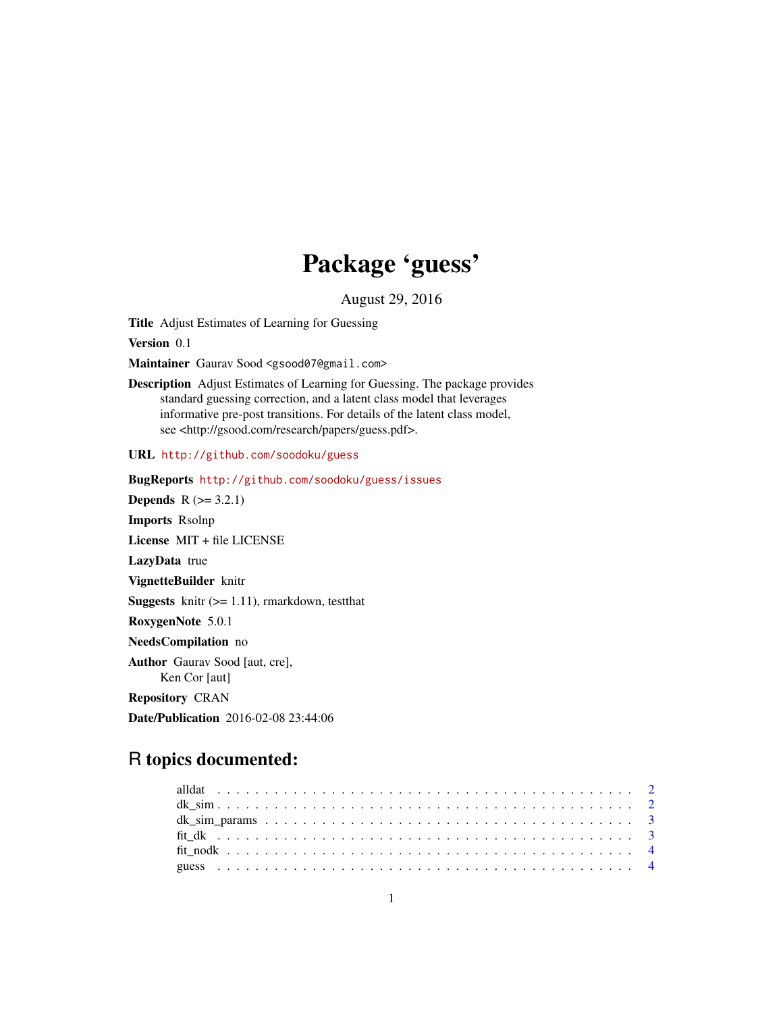## Package 'guess'

August 29, 2016

Title Adjust Estimates of Learning for Guessing

Version 0.1

Maintainer Gaurav Sood <gsood07@gmail.com>

Description Adjust Estimates of Learning for Guessing. The package provides standard guessing correction, and a latent class model that leverages informative pre-post transitions. For details of the latent class model, see <http://gsood.com/research/papers/guess.pdf>.

URL <http://github.com/soodoku/guess>

BugReports <http://github.com/soodoku/guess/issues> **Depends**  $R$  ( $>= 3.2.1$ ) Imports Rsolnp License MIT + file LICENSE LazyData true VignetteBuilder knitr **Suggests** knitr  $(>= 1.11)$ , rmarkdown, test that RoxygenNote 5.0.1 NeedsCompilation no Author Gaurav Sood [aut, cre], Ken Cor [aut] Repository CRAN Date/Publication 2016-02-08 23:44:06

### R topics documented: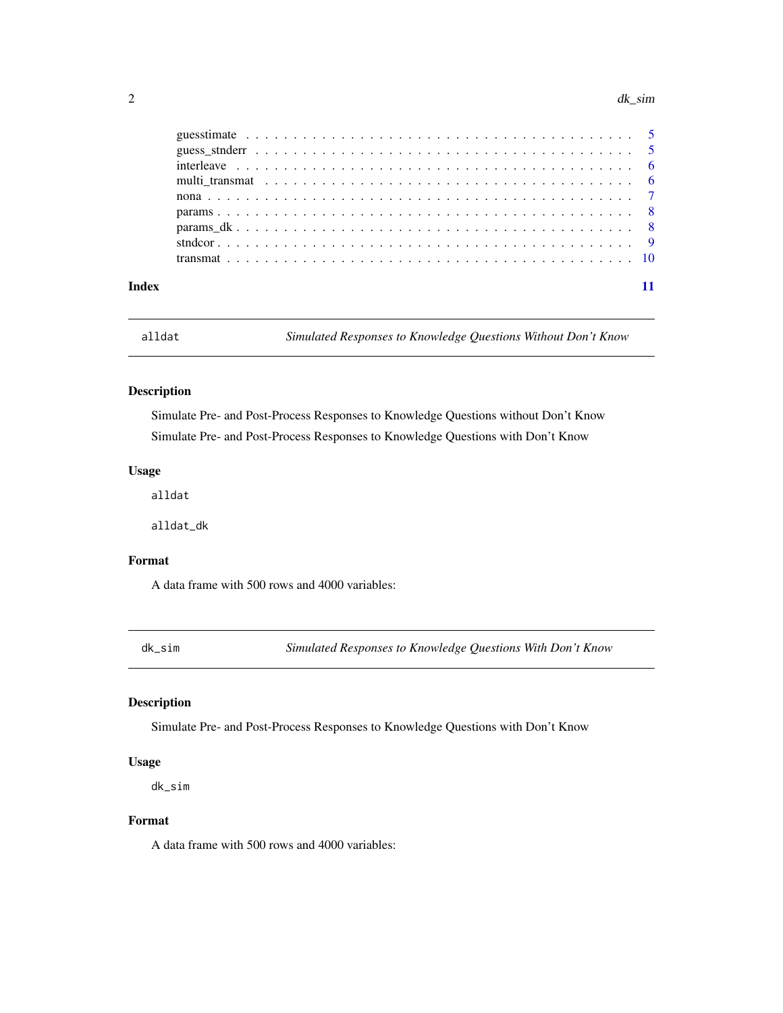#### <span id="page-1-0"></span> $2 \,$  dk\_sim

| Index |  |  |  |  |  |  |  |  |  |  |  |  |  |  |  |  |  |  |
|-------|--|--|--|--|--|--|--|--|--|--|--|--|--|--|--|--|--|--|

alldat *Simulated Responses to Knowledge Questions Without Don't Know*

#### Description

Simulate Pre- and Post-Process Responses to Knowledge Questions without Don't Know Simulate Pre- and Post-Process Responses to Knowledge Questions with Don't Know

#### Usage

alldat

alldat\_dk

#### Format

A data frame with 500 rows and 4000 variables:

dk\_sim *Simulated Responses to Knowledge Questions With Don't Know*

#### Description

Simulate Pre- and Post-Process Responses to Knowledge Questions with Don't Know

#### Usage

dk\_sim

#### Format

A data frame with 500 rows and 4000 variables: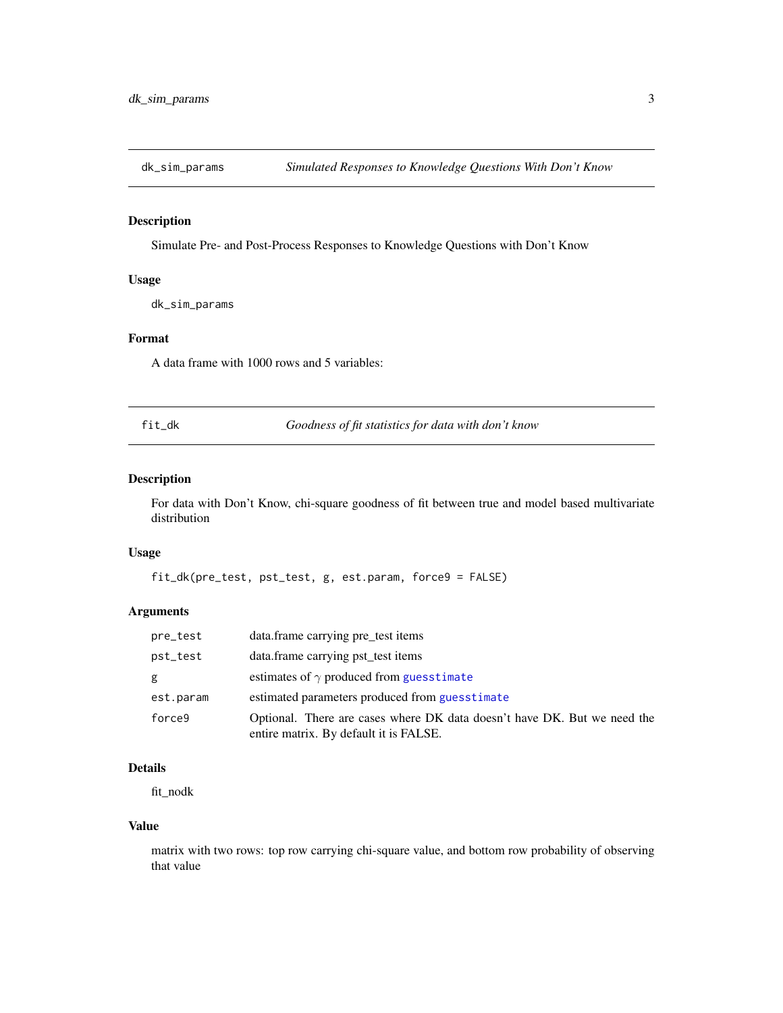<span id="page-2-0"></span>

Simulate Pre- and Post-Process Responses to Knowledge Questions with Don't Know

#### Usage

dk\_sim\_params

#### Format

A data frame with 1000 rows and 5 variables:

|  | U |  |
|--|---|--|

Goodness of fit statistics for data with don't know

#### Description

For data with Don't Know, chi-square goodness of fit between true and model based multivariate distribution

#### Usage

fit\_dk(pre\_test, pst\_test, g, est.param, force9 = FALSE)

#### Arguments

| pre_test  | data.frame carrying pre_test items                                                                                 |
|-----------|--------------------------------------------------------------------------------------------------------------------|
| pst_test  | data.frame carrying pst_test items                                                                                 |
| g         | estimates of $\gamma$ produced from guesstimate                                                                    |
| est.param | estimated parameters produced from guesstimate                                                                     |
| force9    | Optional. There are cases where DK data doesn't have DK. But we need the<br>entire matrix. By default it is FALSE. |

#### Details

fit\_nodk

#### Value

matrix with two rows: top row carrying chi-square value, and bottom row probability of observing that value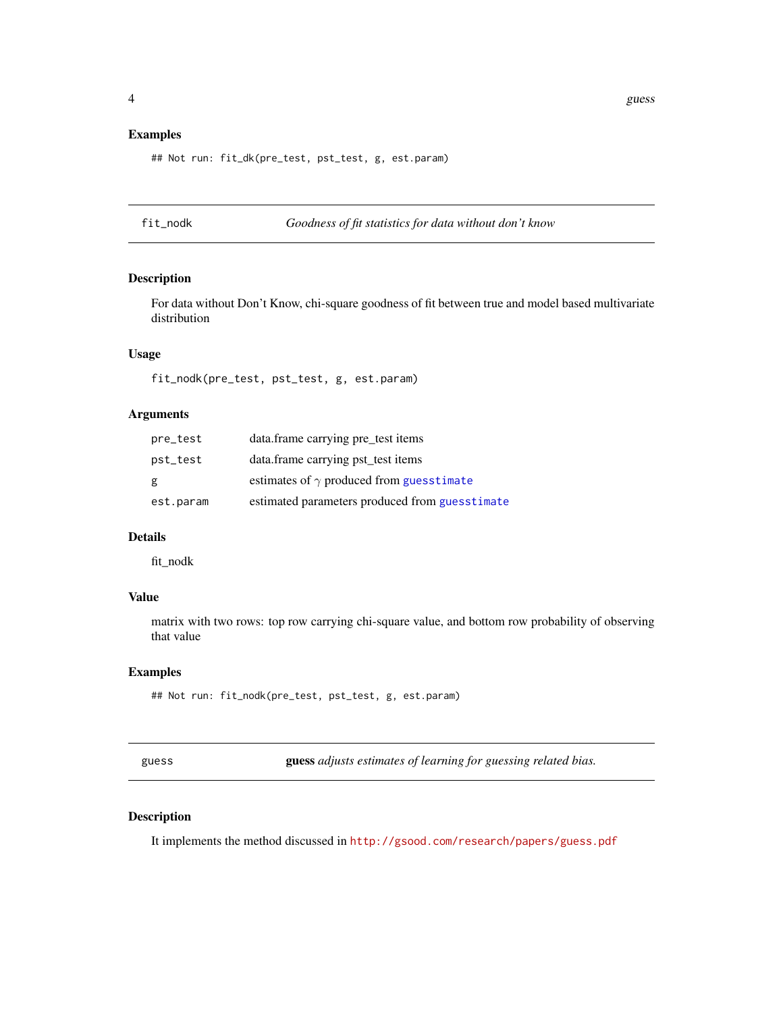#### <span id="page-3-0"></span>Examples

## Not run: fit\_dk(pre\_test, pst\_test, g, est.param)

fit\_nodk *Goodness of fit statistics for data without don't know*

#### Description

For data without Don't Know, chi-square goodness of fit between true and model based multivariate distribution

#### Usage

fit\_nodk(pre\_test, pst\_test, g, est.param)

#### Arguments

| pre_test  | data.frame carrying pre_test items              |
|-----------|-------------------------------------------------|
| pst_test  | data.frame carrying pst_test items              |
| g         | estimates of $\gamma$ produced from guesstimate |
| est.param | estimated parameters produced from guesstimate  |

#### Details

fit\_nodk

#### Value

matrix with two rows: top row carrying chi-square value, and bottom row probability of observing that value

#### Examples

```
## Not run: fit_nodk(pre_test, pst_test, g, est.param)
```
guess guess *adjusts estimates of learning for guessing related bias.*

#### **Description**

It implements the method discussed in <http://gsood.com/research/papers/guess.pdf>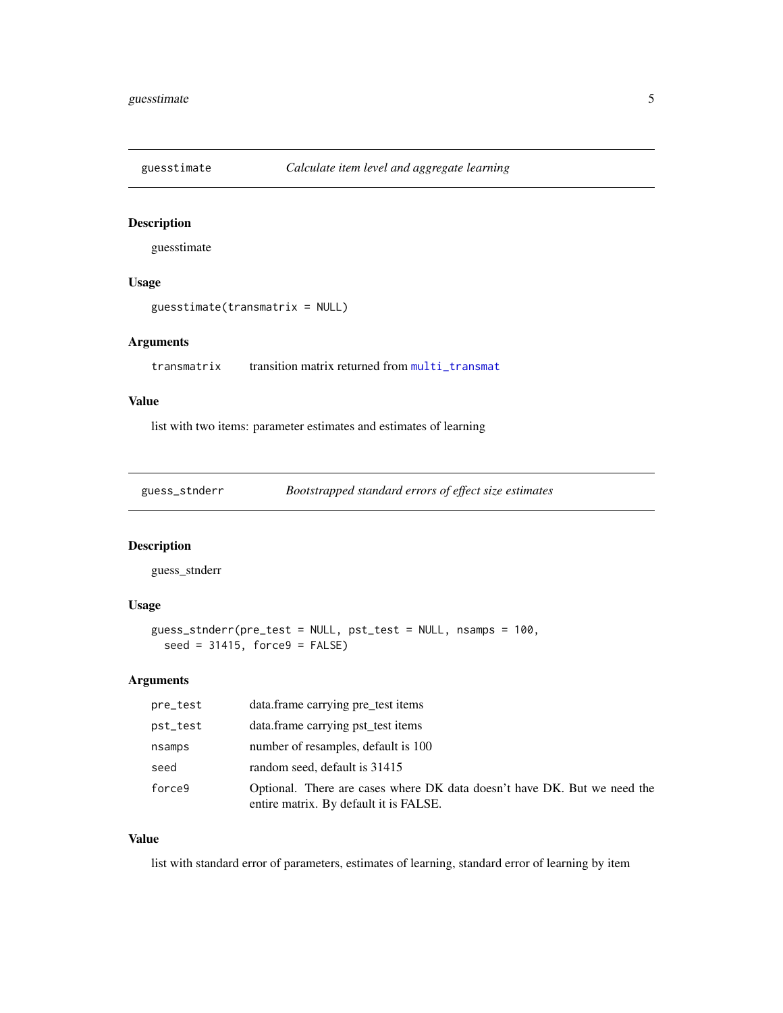<span id="page-4-1"></span><span id="page-4-0"></span>

guesstimate

#### Usage

guesstimate(transmatrix = NULL)

#### Arguments

transmatrix transition matrix returned from [multi\\_transmat](#page-5-1)

#### Value

list with two items: parameter estimates and estimates of learning

guess\_stnderr *Bootstrapped standard errors of effect size estimates*

#### Description

guess\_stnderr

#### Usage

```
guess_stnderr(pre_test = NULL, pst_test = NULL, nsamps = 100,
  seed = 31415, force9 = FALSE)
```
#### Arguments

| pre_test | data.frame carrying pre_test items                                                                                 |
|----------|--------------------------------------------------------------------------------------------------------------------|
| pst_test | data.frame carrying pst_test items                                                                                 |
| nsamps   | number of resamples, default is 100                                                                                |
| seed     | random seed, default is 31415                                                                                      |
| force9   | Optional. There are cases where DK data doesn't have DK. But we need the<br>entire matrix. By default it is FALSE. |

#### Value

list with standard error of parameters, estimates of learning, standard error of learning by item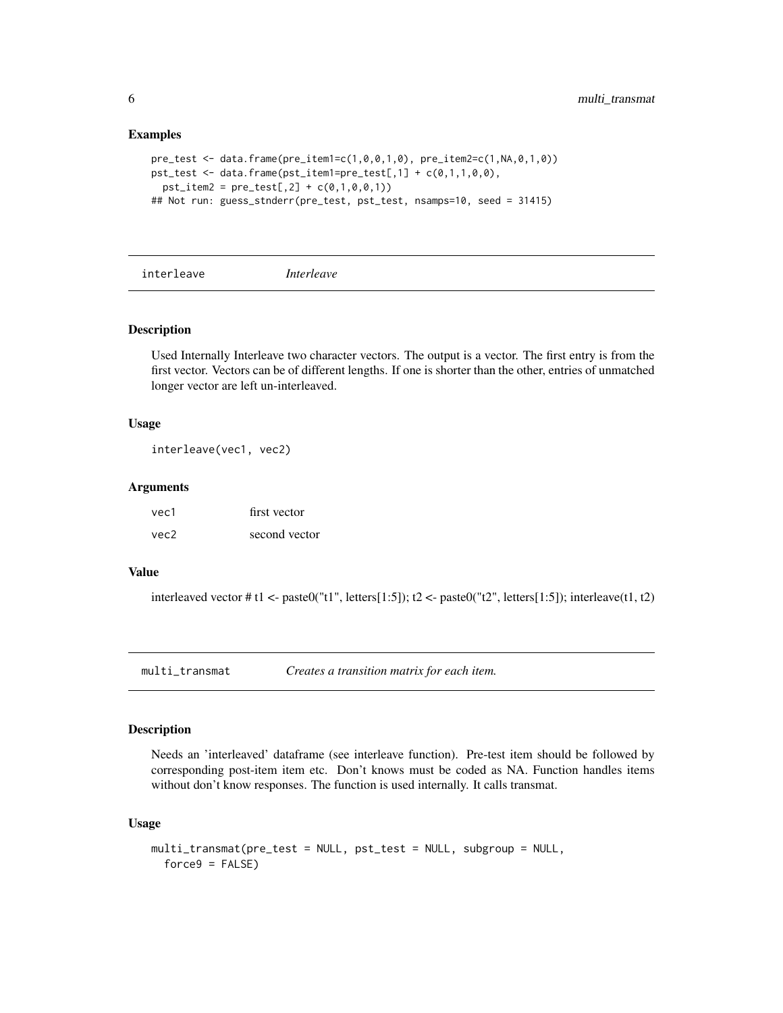#### Examples

```
pre_test <- data.frame(pre_item1=c(1,0,0,1,0), pre_item2=c(1,NA,0,1,0))
pst_test <- data.frame(pst_item1=pre_test[,1] + c(0,1,1,0,0),
  pst_item2 = pre_test[, 2] + c(0,1,0,0,1))## Not run: guess_stnderr(pre_test, pst_test, nsamps=10, seed = 31415)
```
interleave *Interleave*

#### Description

Used Internally Interleave two character vectors. The output is a vector. The first entry is from the first vector. Vectors can be of different lengths. If one is shorter than the other, entries of unmatched longer vector are left un-interleaved.

#### Usage

interleave(vec1, vec2)

#### Arguments

| vec1             | first vector  |
|------------------|---------------|
| vec <sub>2</sub> | second vector |

#### Value

interleaved vector # t1 <- paste0("t1", letters[1:5]); t2 <- paste0("t2", letters[1:5]); interleave(t1, t2)

<span id="page-5-1"></span>multi\_transmat *Creates a transition matrix for each item.*

#### Description

Needs an 'interleaved' dataframe (see interleave function). Pre-test item should be followed by corresponding post-item item etc. Don't knows must be coded as NA. Function handles items without don't know responses. The function is used internally. It calls transmat.

#### Usage

```
multi_transmat(pre_test = NULL, pst_test = NULL, subgroup = NULL,
  force9 = FALSE)
```
<span id="page-5-0"></span>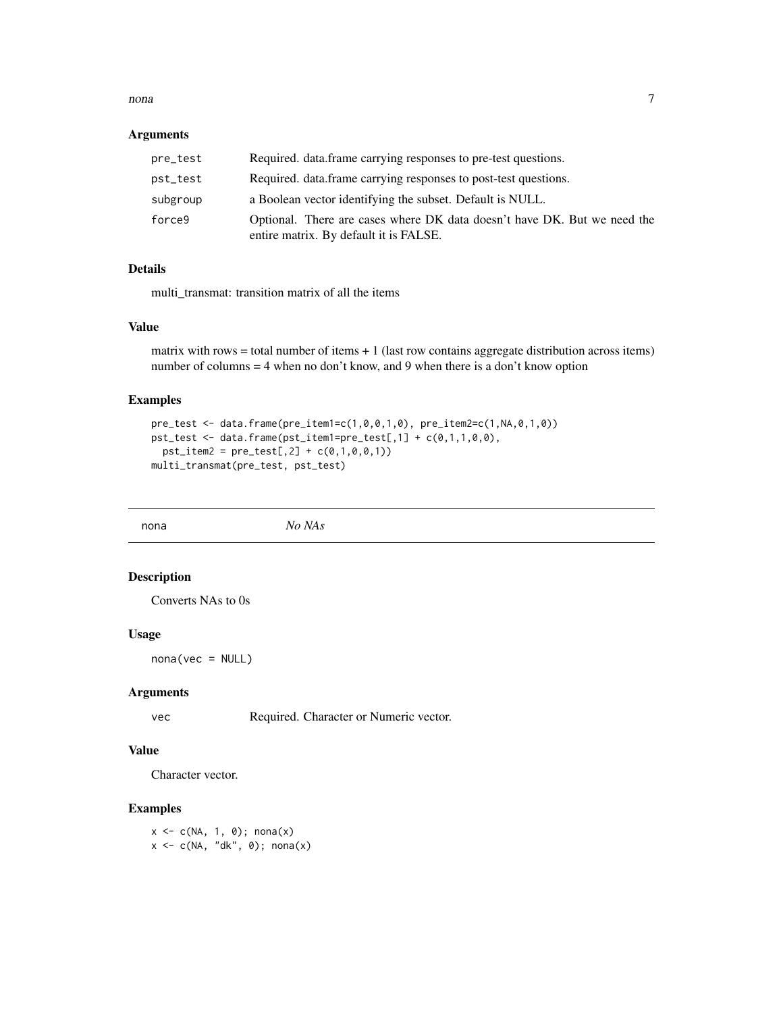#### <span id="page-6-0"></span>nona and a contract the contract of the contract of the contract of the contract of the contract of the contract of the contract of the contract of the contract of the contract of the contract of the contract of the contra

#### Arguments

| pre_test | Required. data.frame carrying responses to pre-test questions.                                                     |
|----------|--------------------------------------------------------------------------------------------------------------------|
| pst_test | Required. data.frame carrying responses to post-test questions.                                                    |
| subgroup | a Boolean vector identifying the subset. Default is NULL.                                                          |
| force9   | Optional. There are cases where DK data doesn't have DK. But we need the<br>entire matrix. By default it is FALSE. |

#### Details

multi\_transmat: transition matrix of all the items

#### Value

matrix with rows = total number of items  $+1$  (last row contains aggregate distribution across items) number of columns = 4 when no don't know, and 9 when there is a don't know option

#### Examples

```
pre_test <- data.frame(pre_item1=c(1,0,0,1,0), pre_item2=c(1,NA,0,1,0))
pst_test <- data.frame(pst_item1=pre_test[,1] + c(0,1,1,0,0),
  pst_item2 = pre_test[, 2] + c(0, 1, 0, 0, 1))multi_transmat(pre_test, pst_test)
```
nona *No NAs*

#### Description

Converts NAs to 0s

#### Usage

 $nona(vec = NULL)$ 

#### Arguments

vec Required. Character or Numeric vector.

#### Value

Character vector.

#### Examples

 $x \leq c(NA, 1, 0)$ ; nona(x)  $x \leftarrow c(NA, "dk", 0); nona(x)$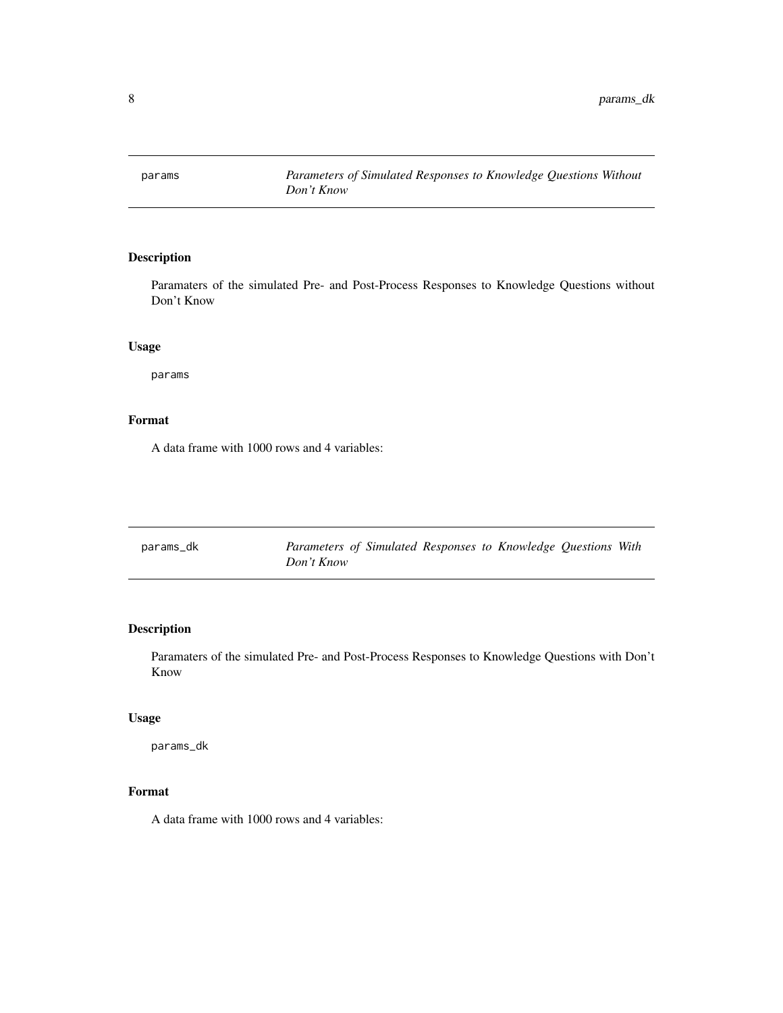<span id="page-7-0"></span>params *Parameters of Simulated Responses to Knowledge Questions Without Don't Know*

#### Description

Paramaters of the simulated Pre- and Post-Process Responses to Knowledge Questions without Don't Know

#### Usage

params

#### Format

A data frame with 1000 rows and 4 variables:

| params_dk | Parameters of Simulated Responses to Knowledge Questions With |  |  |  |
|-----------|---------------------------------------------------------------|--|--|--|
|           | Don't Know                                                    |  |  |  |

#### Description

Paramaters of the simulated Pre- and Post-Process Responses to Knowledge Questions with Don't Know

#### Usage

params\_dk

#### Format

A data frame with 1000 rows and 4 variables: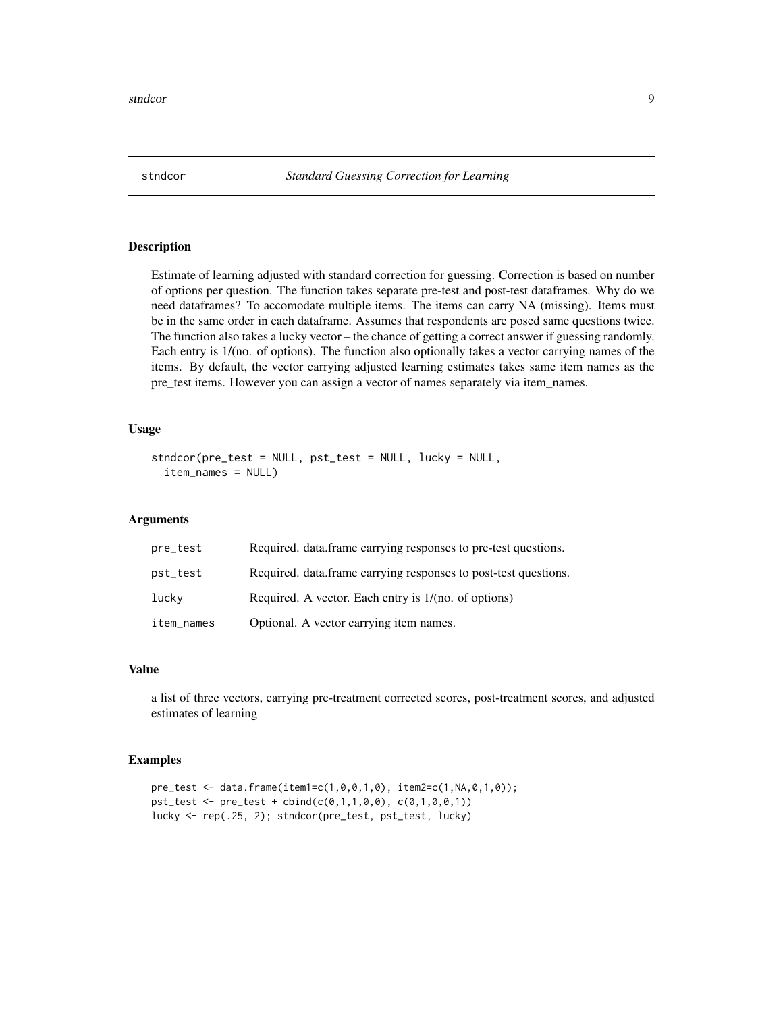<span id="page-8-0"></span>

Estimate of learning adjusted with standard correction for guessing. Correction is based on number of options per question. The function takes separate pre-test and post-test dataframes. Why do we need dataframes? To accomodate multiple items. The items can carry NA (missing). Items must be in the same order in each dataframe. Assumes that respondents are posed same questions twice. The function also takes a lucky vector – the chance of getting a correct answer if guessing randomly. Each entry is 1/(no. of options). The function also optionally takes a vector carrying names of the items. By default, the vector carrying adjusted learning estimates takes same item names as the pre\_test items. However you can assign a vector of names separately via item\_names.

#### Usage

```
stndcor(pre_test = NULL, pst_test = NULL, lucky = NULL,
  item_names = NULL)
```
#### Arguments

| pre_test   | Required. data.frame carrying responses to pre-test questions.  |
|------------|-----------------------------------------------------------------|
| pst_test   | Required. data.frame carrying responses to post-test questions. |
| lucky      | Required. A vector. Each entry is $1/(no. of options)$          |
| item_names | Optional. A vector carrying item names.                         |

#### Value

a list of three vectors, carrying pre-treatment corrected scores, post-treatment scores, and adjusted estimates of learning

#### Examples

```
pre_test <- data.frame(item1=c(1,0,0,1,0), item2=c(1,NA,0,1,0));
pst_test < - pre_test + chind(c(0,1,1,0,0), c(0,1,0,0,1))lucky <- rep(.25, 2); stndcor(pre_test, pst_test, lucky)
```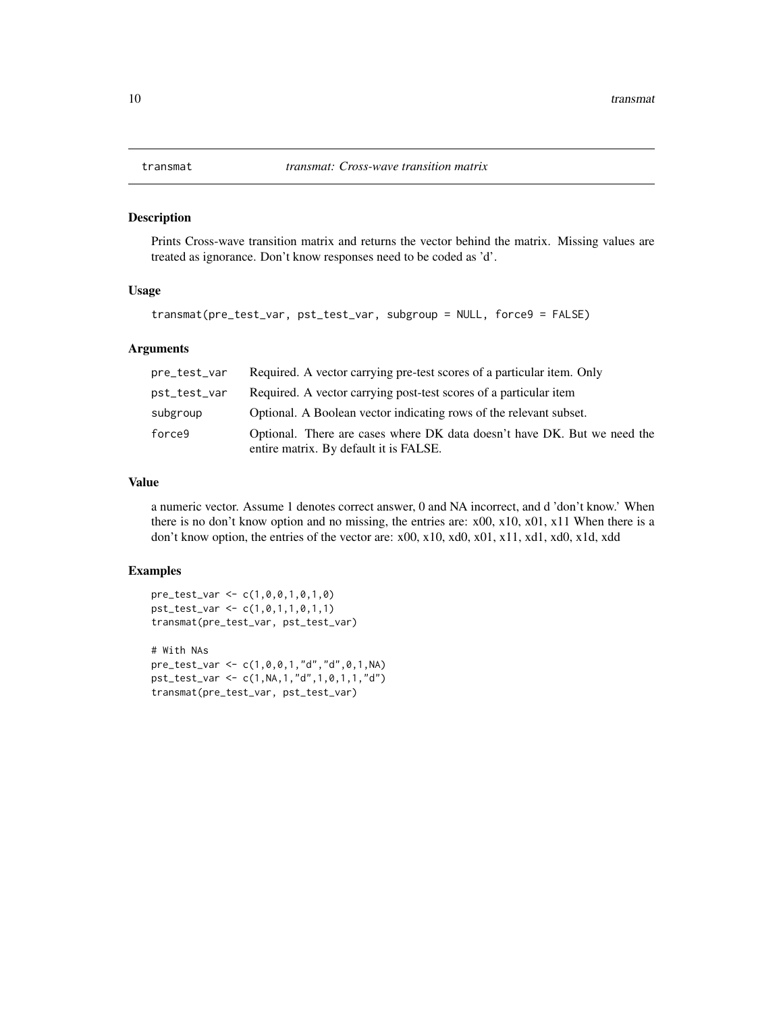Prints Cross-wave transition matrix and returns the vector behind the matrix. Missing values are treated as ignorance. Don't know responses need to be coded as 'd'.

#### Usage

```
transmat(pre_test_var, pst_test_var, subgroup = NULL, force9 = FALSE)
```
#### Arguments

| pre_test_var | Required. A vector carrying pre-test scores of a particular item. Only                                             |
|--------------|--------------------------------------------------------------------------------------------------------------------|
| pst_test_var | Required. A vector carrying post-test scores of a particular item                                                  |
| subgroup     | Optional. A Boolean vector indicating rows of the relevant subset.                                                 |
| force9       | Optional. There are cases where DK data doesn't have DK. But we need the<br>entire matrix. By default it is FALSE. |

#### Value

a numeric vector. Assume 1 denotes correct answer, 0 and NA incorrect, and d 'don't know.' When there is no don't know option and no missing, the entries are: x00, x10, x01, x11 When there is a don't know option, the entries of the vector are: x00, x10, xd0, x01, x11, xd1, xd0, x1d, xdd

#### Examples

```
pre_test_var <- c(1,0,0,1,0,1,0)
pst_test_var <- c(1,0,1,1,0,1,1)
transmat(pre_test_var, pst_test_var)
# With NAs
pre_test_var <- c(1,0,0,1,"d","d",0,1,NA)
pst_test_var <- c(1,NA,1,"d",1,0,1,1,"d")
transmat(pre_test_var, pst_test_var)
```